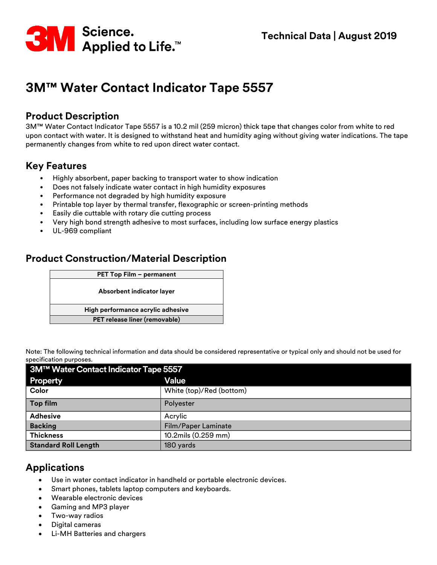

# **3M™ Water Contact Indicator Tape 5557**

#### **Product Description**

3M™ Water Contact Indicator Tape 5557 is a 10.2 mil (259 micron) thick tape that changes color from white to red upon contact with water. It is designed to withstand heat and humidity aging without giving water indications. The tape permanently changes from white to red upon direct water contact.

### **Key Features**

- Highly absorbent, paper backing to transport water to show indication
- Does not falsely indicate water contact in high humidity exposures
- Performance not degraded by high humidity exposure
- Printable top layer by thermal transfer, flexographic or screen-printing methods
- Easily die cuttable with rotary die cutting process
- Very high bond strength adhesive to most surfaces, including low surface energy plastics
- UL-969 compliant

#### **Product Construction/Material Description**

| PET Top Film - permanent          |  |
|-----------------------------------|--|
| Absorbent indicator layer         |  |
| High performance acrylic adhesive |  |
| PET release liner (removable)     |  |

Note: The following technical information and data should be considered representative or typical only and should not be used for specification purposes.

| 3M™ Water Contact Indicator Tape 5557 |                          |  |
|---------------------------------------|--------------------------|--|
| <b>Property</b>                       | <b>Value</b>             |  |
| Color                                 | White (top)/Red (bottom) |  |
| Top film                              | Polyester                |  |
| <b>Adhesive</b>                       | Acrylic                  |  |
| <b>Backing</b>                        | Film/Paper Laminate      |  |
| <b>Thickness</b>                      | 10.2mils (0.259 mm)      |  |
| <b>Standard Roll Length</b>           | 180 yards                |  |

## **Applications**

- Use in water contact indicator in handheld or portable electronic devices.
- Smart phones, tablets laptop computers and keyboards.
- Wearable electronic devices
- Gaming and MP3 player
- Two-way radios
- Digital cameras
- Li-MH Batteries and chargers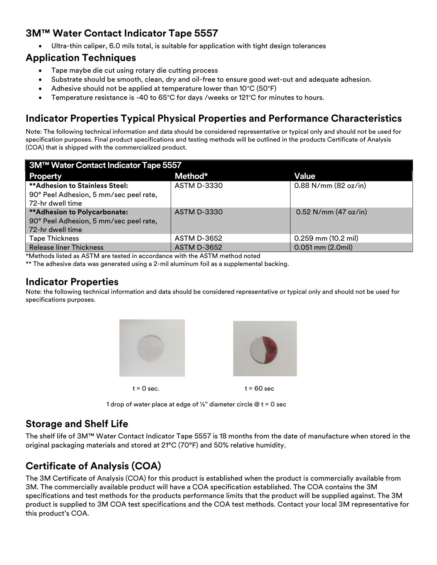## **3M™ Water Contact Indicator Tape 5557**

• Ultra-thin caliper, 6.0 mils total, is suitable for application with tight design tolerances

#### **Application Techniques**

- Tape maybe die cut using rotary die cutting process
- Substrate should be smooth, clean, dry and oil-free to ensure good wet-out and adequate adhesion.
- Adhesive should not be applied at temperature lower than 10°C (50°F)
- Temperature resistance is -40 to 65°C for days /weeks or 121°C for minutes to hours.

# **Indicator Properties Typical Physical Properties and Performance Characteristics**

Note: The following technical information and data should be considered representative or typical only and should not be used for specification purposes. Final product specifications and testing methods will be outlined in the products Certificate of Analysis (COA) that is shipped with the commercialized product.

| 3M™ Water Contact Indicator Tape 5557  |                    |                         |  |
|----------------------------------------|--------------------|-------------------------|--|
| <b>Property</b>                        | Method*            | Value                   |  |
| <b>**Adhesion to Stainless Steel:</b>  | <b>ASTM D-3330</b> | $0.88$ N/mm (82 oz/in)  |  |
| 90° Peel Adhesion, 5 mm/sec peel rate, |                    |                         |  |
| 72-hr dwell time                       |                    |                         |  |
| <b>**Adhesion to Polycarbonate:</b>    | <b>ASTM D-3330</b> | $0.52$ N/mm (47 oz/in)  |  |
| 90° Peel Adhesion, 5 mm/sec peel rate, |                    |                         |  |
| 72-hr dwell time                       |                    |                         |  |
| <b>Tape Thickness</b>                  | <b>ASTM D-3652</b> | $0.259$ mm $(10.2$ mil) |  |
| <b>Release liner Thickness</b>         | <b>ASTM D-3652</b> | $0.051$ mm $(2.0$ mil)  |  |

\*Methods listed as ASTM are tested in accordance with the ASTM method noted

\*\* The adhesive data was generated using a 2-mil aluminum foil as a supplemental backing.

#### **Indicator Properties**

Note: the following technical information and data should be considered representative or typical only and should not be used for specifications purposes.



1 drop of water place at edge of  $\frac{1}{2}$ " diameter circle @ t = 0 sec

## **Storage and Shelf Life**

The shelf life of 3M™ Water Contact Indicator Tape 5557 is 18 months from the date of manufacture when stored in the original packaging materials and stored at 21°C (70°F) and 50% relative humidity.

# **Certificate of Analysis (COA)**

The 3M Certificate of Analysis (COA) for this product is established when the product is commercially available from 3M. The commercially available product will have a COA specification established. The COA contains the 3M specifications and test methods for the products performance limits that the product will be supplied against. The 3M product is supplied to 3M COA test specifications and the COA test methods. Contact your local 3M representative for this product's COA.